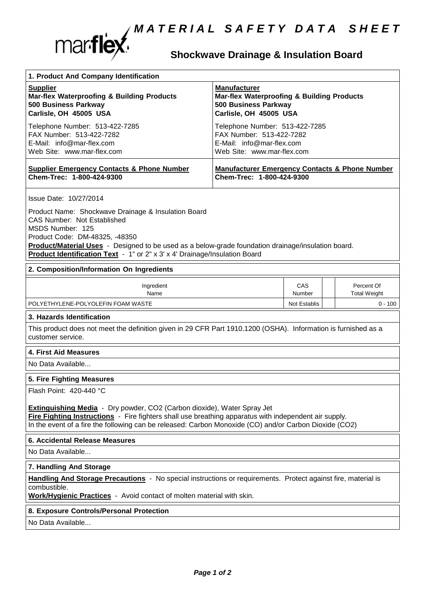

## **Shockwave Drainage & Insulation Board**

| 1. Product And Company Identification                                                                                                                                                                                                                                                                                                                         |                                                                                                                                |               |                                   |  |
|---------------------------------------------------------------------------------------------------------------------------------------------------------------------------------------------------------------------------------------------------------------------------------------------------------------------------------------------------------------|--------------------------------------------------------------------------------------------------------------------------------|---------------|-----------------------------------|--|
| <b>Supplier</b><br><b>Mar-flex Waterproofing &amp; Building Products</b><br>500 Business Parkway<br>Carlisle, OH 45005 USA                                                                                                                                                                                                                                    | <b>Manufacturer</b><br><b>Mar-flex Waterproofing &amp; Building Products</b><br>500 Business Parkway<br>Carlisle, OH 45005 USA |               |                                   |  |
| Telephone Number: 513-422-7285<br>FAX Number: 513-422-7282<br>E-Mail: info@mar-flex.com<br>Web Site: www.mar-flex.com                                                                                                                                                                                                                                         | Telephone Number: 513-422-7285<br>FAX Number: 513-422-7282<br>E-Mail: info@mar-flex.com<br>Web Site: www.mar-flex.com          |               |                                   |  |
| <b>Supplier Emergency Contacts &amp; Phone Number</b><br>Chem-Trec: 1-800-424-9300                                                                                                                                                                                                                                                                            | <b>Manufacturer Emergency Contacts &amp; Phone Number</b><br>Chem-Trec: 1-800-424-9300                                         |               |                                   |  |
| Issue Date: 10/27/2014<br>Product Name: Shockwave Drainage & Insulation Board<br><b>CAS Number: Not Established</b><br>MSDS Number: 125<br>Product Code: DM-48325, -48350<br>Product/Material Uses - Designed to be used as a below-grade foundation drainage/insulation board.<br>Product Identification Text - 1" or 2" x 3' x 4' Drainage/Insulation Board |                                                                                                                                |               |                                   |  |
| 2. Composition/Information On Ingredients                                                                                                                                                                                                                                                                                                                     |                                                                                                                                |               |                                   |  |
| Ingredient<br>Name                                                                                                                                                                                                                                                                                                                                            |                                                                                                                                | CAS<br>Number | Percent Of<br><b>Total Weight</b> |  |
| POLYETHYLENE-POLYOLEFIN FOAM WASTE                                                                                                                                                                                                                                                                                                                            |                                                                                                                                | Not Establis  | $0 - 100$                         |  |
| 3. Hazards Identification<br>This product does not meet the definition given in 29 CFR Part 1910.1200 (OSHA). Information is furnished as a<br>customer service.<br>4. First Aid Measures                                                                                                                                                                     |                                                                                                                                |               |                                   |  |
| No Data Available                                                                                                                                                                                                                                                                                                                                             |                                                                                                                                |               |                                   |  |
| 5. Fire Fighting Measures<br>Flash Point: 420-440 °C<br><b>Extinguishing Media</b> - Dry powder, CO2 (Carbon dioxide), Water Spray Jet<br>Fire Fighting Instructions - Fire fighters shall use breathing apparatus with independent air supply.<br>In the event of a fire the following can be released: Carbon Monoxide (CO) and/or Carbon Dioxide (CO2)     |                                                                                                                                |               |                                   |  |
| 6. Accidental Release Measures                                                                                                                                                                                                                                                                                                                                |                                                                                                                                |               |                                   |  |
| No Data Available                                                                                                                                                                                                                                                                                                                                             |                                                                                                                                |               |                                   |  |
| 7. Handling And Storage                                                                                                                                                                                                                                                                                                                                       |                                                                                                                                |               |                                   |  |
| Handling And Storage Precautions - No special instructions or requirements. Protect against fire, material is<br>combustible.<br>Work/Hygienic Practices - Avoid contact of molten material with skin.                                                                                                                                                        |                                                                                                                                |               |                                   |  |
| 8. Exposure Controls/Personal Protection                                                                                                                                                                                                                                                                                                                      |                                                                                                                                |               |                                   |  |
| No Data Available                                                                                                                                                                                                                                                                                                                                             |                                                                                                                                |               |                                   |  |
|                                                                                                                                                                                                                                                                                                                                                               |                                                                                                                                |               |                                   |  |